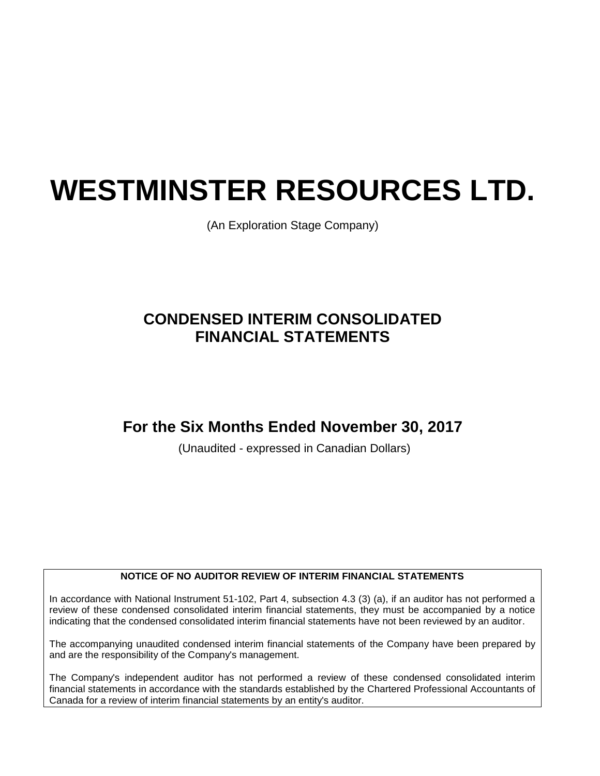# **WESTMINSTER RESOURCES LTD.**

(An Exploration Stage Company)

# **CONDENSED INTERIM CONSOLIDATED FINANCIAL STATEMENTS**

# **For the Six Months Ended November 30, 2017**

(Unaudited - expressed in Canadian Dollars)

#### **NOTICE OF NO AUDITOR REVIEW OF INTERIM FINANCIAL STATEMENTS**

In accordance with National Instrument 51-102, Part 4, subsection 4.3 (3) (a), if an auditor has not performed a review of these condensed consolidated interim financial statements, they must be accompanied by a notice indicating that the condensed consolidated interim financial statements have not been reviewed by an auditor.

The accompanying unaudited condensed interim financial statements of the Company have been prepared by and are the responsibility of the Company's management.

The Company's independent auditor has not performed a review of these condensed consolidated interim financial statements in accordance with the standards established by the Chartered Professional Accountants of Canada for a review of interim financial statements by an entity's auditor.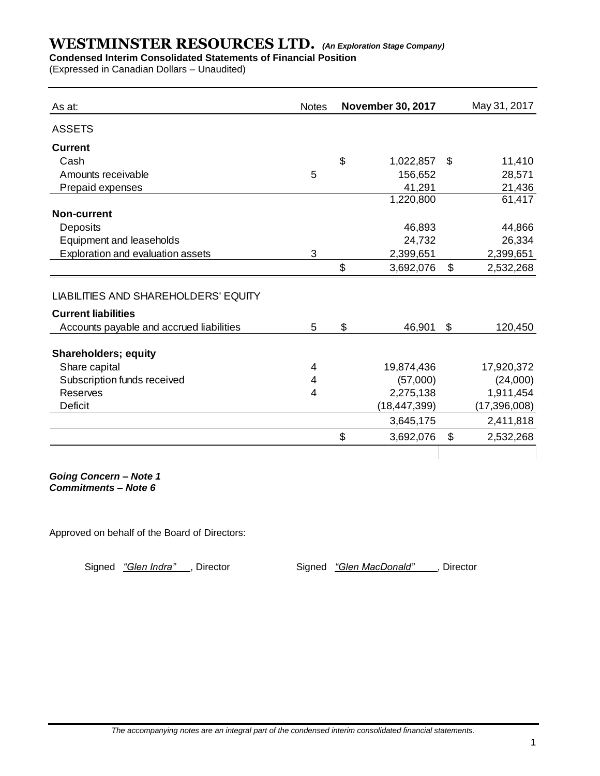## **Condensed Interim Consolidated Statements of Financial Position**

(Expressed in Canadian Dollars – Unaudited)

| As at:                                      | <b>Notes</b> | <b>November 30, 2017</b> | May 31, 2017    |
|---------------------------------------------|--------------|--------------------------|-----------------|
| <b>ASSETS</b>                               |              |                          |                 |
| <b>Current</b>                              |              |                          |                 |
| Cash                                        |              | \$<br>1,022,857          | \$<br>11,410    |
| Amounts receivable                          | 5            | 156,652                  | 28,571          |
| Prepaid expenses                            |              | 41,291                   | 21,436          |
|                                             |              | 1,220,800                | 61,417          |
| <b>Non-current</b>                          |              |                          |                 |
| Deposits                                    |              | 46,893                   | 44,866          |
| Equipment and leaseholds                    |              | 24,732                   | 26,334          |
| Exploration and evaluation assets           | 3            | 2,399,651                | 2,399,651       |
|                                             |              | \$<br>3,692,076          | \$<br>2,532,268 |
| <b>LIABILITIES AND SHAREHOLDERS' EQUITY</b> |              |                          |                 |
| <b>Current liabilities</b>                  |              |                          |                 |
| Accounts payable and accrued liabilities    | 5            | \$<br>46,901             | \$<br>120,450   |
| <b>Shareholders; equity</b>                 |              |                          |                 |
| Share capital                               | 4            | 19,874,436               | 17,920,372      |
| Subscription funds received                 | 4            | (57,000)                 | (24,000)        |
| <b>Reserves</b>                             | 4            | 2,275,138                | 1,911,454       |
| Deficit                                     |              | (18,447,399)             | (17, 396, 008)  |
|                                             |              | 3,645,175                | 2,411,818       |
|                                             |              | \$<br>3,692,076          | \$<br>2,532,268 |
|                                             |              |                          |                 |

*Going Concern – Note 1 Commitments – Note 6*

Approved on behalf of the Board of Directors:

Signed "**Glen Indra**", Director Signed "**Glen MacDonald"**, Director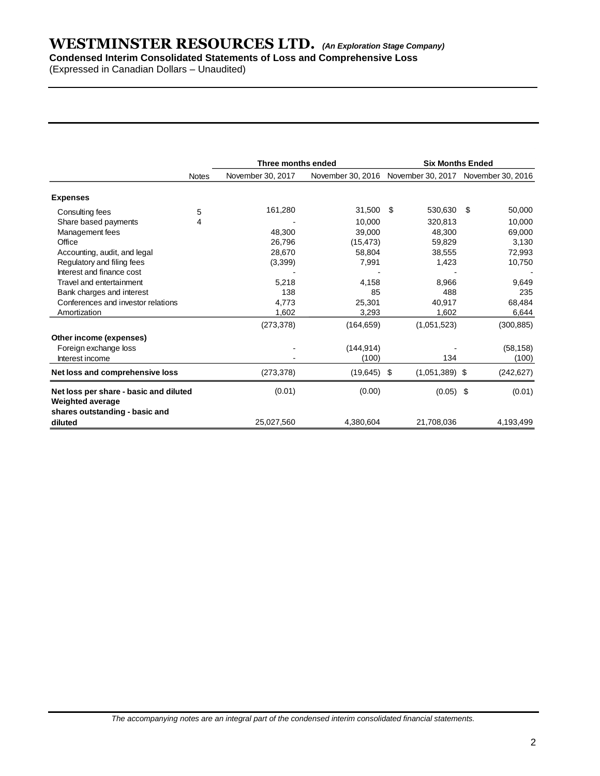#### **Condensed Interim Consolidated Statements of Loss and Comprehensive Loss**

(Expressed in Canadian Dollars – Unaudited)

|                                                                   |              | Three months ended |                   | <b>Six Months Ended</b> |                                     |  |  |  |  |
|-------------------------------------------------------------------|--------------|--------------------|-------------------|-------------------------|-------------------------------------|--|--|--|--|
|                                                                   | <b>Notes</b> | November 30, 2017  | November 30, 2016 |                         | November 30, 2017 November 30, 2016 |  |  |  |  |
| <b>Expenses</b>                                                   |              |                    |                   |                         |                                     |  |  |  |  |
| Consulting fees                                                   | 5            | 161,280            | 31,500            | 530,630<br>\$           | \$<br>50,000                        |  |  |  |  |
| Share based payments                                              | 4            |                    | 10,000            | 320,813                 | 10,000                              |  |  |  |  |
| Management fees                                                   |              | 48.300             | 39.000            | 48.300                  | 69,000                              |  |  |  |  |
| Office                                                            |              | 26,796             | (15, 473)         | 59,829                  | 3,130                               |  |  |  |  |
| Accounting, audit, and legal                                      |              | 28,670             | 58,804            | 38,555                  | 72,993                              |  |  |  |  |
| Regulatory and filing fees                                        |              | (3,399)            | 7,991             | 1,423                   | 10,750                              |  |  |  |  |
| Interest and finance cost                                         |              |                    |                   |                         |                                     |  |  |  |  |
| Travel and entertainment                                          |              | 5,218              | 4,158             | 8,966                   | 9,649                               |  |  |  |  |
| Bank charges and interest                                         |              | 138                | 85                | 488                     | 235                                 |  |  |  |  |
| Conferences and investor relations                                |              | 4.773              | 25,301            | 40.917                  | 68,484                              |  |  |  |  |
| Amortization                                                      |              | 1,602              | 3,293             | 1,602                   | 6,644                               |  |  |  |  |
|                                                                   |              | (273, 378)         | (164, 659)        | (1,051,523)             | (300, 885)                          |  |  |  |  |
| Other income (expenses)                                           |              |                    |                   |                         |                                     |  |  |  |  |
| Foreign exchange loss                                             |              |                    | (144, 914)        |                         | (58, 158)                           |  |  |  |  |
| Interest income                                                   |              |                    | (100)             | 134                     | (100)                               |  |  |  |  |
| Net loss and comprehensive loss                                   |              | (273, 378)         | $(19, 645)$ \$    | $(1,051,389)$ \$        | (242, 627)                          |  |  |  |  |
| Net loss per share - basic and diluted<br><b>Weighted average</b> |              | (0.01)             | (0.00)            | $(0.05)$ \$             | (0.01)                              |  |  |  |  |
| shares outstanding - basic and<br>diluted                         |              | 25,027,560         | 4,380,604         | 21,708,036              | 4,193,499                           |  |  |  |  |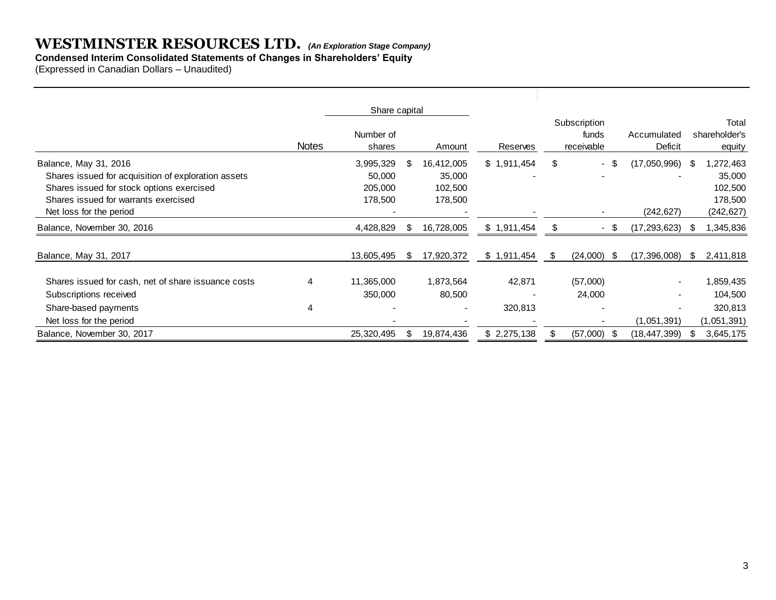#### **Condensed Interim Consolidated Statements of Changes in Shareholders' Equity**

(Expressed in Canadian Dollars – Unaudited)

|                                                                                                                                                                                              |              | Share capital                             |     |                                            |             |      |                                     |                            |      |                                                         |
|----------------------------------------------------------------------------------------------------------------------------------------------------------------------------------------------|--------------|-------------------------------------------|-----|--------------------------------------------|-------------|------|-------------------------------------|----------------------------|------|---------------------------------------------------------|
|                                                                                                                                                                                              | <b>Notes</b> | Number of<br>shares                       |     | Amount                                     | Reserves    |      | Subscription<br>funds<br>receivable | Accumulated<br>Deficit     |      | Total<br>shareholder's<br>equity                        |
| Balance, May 31, 2016<br>Shares issued for acquisition of exploration assets<br>Shares issued for stock options exercised<br>Shares issued for warrants exercised<br>Net loss for the period |              | 3,995,329<br>50,000<br>205,000<br>178,500 | \$  | 16,412,005<br>35,000<br>102,500<br>178,500 | \$1,911,454 | S    | -\$<br>$\blacksquare$               | (17,050,996)<br>(242, 627) | - \$ | 1,272,463<br>35,000<br>102,500<br>178,500<br>(242, 627) |
| Balance, November 30, 2016                                                                                                                                                                   |              | 4,428,829                                 | \$. | 16,728,005                                 | \$1,911,454 | - 77 | - \$<br>$\overline{\phantom{a}}$    | (17, 293, 623)             | - \$ | 1,345,836                                               |
| Balance, May 31, 2017                                                                                                                                                                        |              | 13,605,495                                | \$  | 17,920,372                                 | \$1,911,454 | \$   | (24,000)<br>- \$                    | (17, 396, 008)             | \$.  | 2,411,818                                               |
| Shares issued for cash, net of share issuance costs<br>Subscriptions received                                                                                                                | 4            | 11,365,000<br>350,000                     |     | 1,873,564<br>80,500                        | 42,871      |      | (57,000)<br>24,000                  | $\overline{\phantom{a}}$   |      | 1,859,435<br>104,500                                    |
| Share-based payments                                                                                                                                                                         | 4            |                                           |     |                                            | 320,813     |      |                                     |                            |      | 320,813                                                 |
| Net loss for the period                                                                                                                                                                      |              |                                           |     |                                            |             |      |                                     | (1,051,391)                |      | (1,051,391)                                             |
| Balance, November 30, 2017                                                                                                                                                                   |              | 25,320,495                                | \$  | 19,874,436                                 | \$2,275,138 |      | (57,000)<br>- 96                    | (18,447,399)               |      | 3,645,175                                               |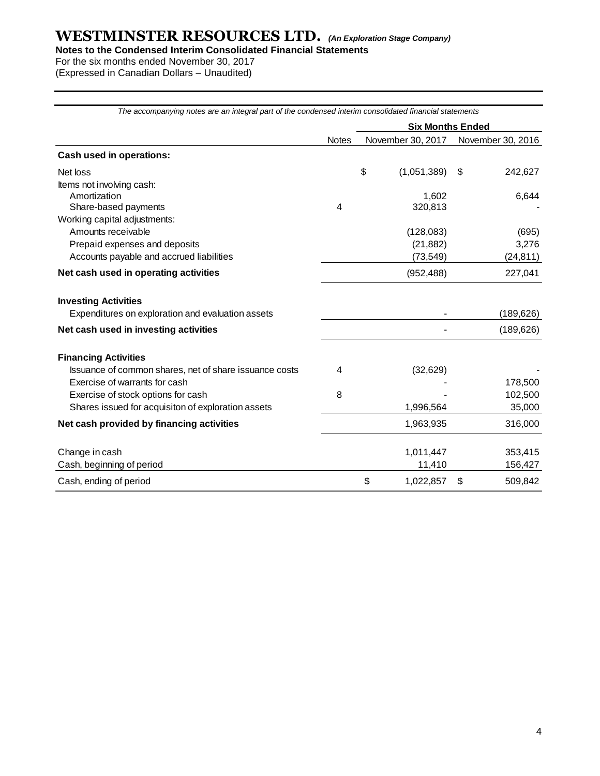**Notes to the Condensed Interim Consolidated Financial Statements**

For the six months ended November 30, 2017 (Expressed in Canadian Dollars – Unaudited)

| The accompanying notes are an integral part of the condensed interim consolidated financial statements |              |                         |    |                   |  |  |  |  |  |
|--------------------------------------------------------------------------------------------------------|--------------|-------------------------|----|-------------------|--|--|--|--|--|
|                                                                                                        |              | <b>Six Months Ended</b> |    |                   |  |  |  |  |  |
|                                                                                                        | <b>Notes</b> | November 30, 2017       |    | November 30, 2016 |  |  |  |  |  |
| Cash used in operations:                                                                               |              |                         |    |                   |  |  |  |  |  |
| Net loss                                                                                               |              | \$<br>(1,051,389)       | \$ | 242,627           |  |  |  |  |  |
| Items not involving cash:                                                                              |              |                         |    |                   |  |  |  |  |  |
| Amortization                                                                                           |              | 1,602                   |    | 6,644             |  |  |  |  |  |
| Share-based payments                                                                                   | 4            | 320,813                 |    |                   |  |  |  |  |  |
| Working capital adjustments:                                                                           |              |                         |    |                   |  |  |  |  |  |
| Amounts receivable                                                                                     |              | (128,083)               |    | (695)             |  |  |  |  |  |
| Prepaid expenses and deposits                                                                          |              | (21, 882)               |    | 3,276             |  |  |  |  |  |
| Accounts payable and accrued liabilities                                                               |              | (73, 549)               |    | (24, 811)         |  |  |  |  |  |
| Net cash used in operating activities                                                                  |              | (952, 488)              |    | 227,041           |  |  |  |  |  |
| <b>Investing Activities</b>                                                                            |              |                         |    |                   |  |  |  |  |  |
| Expenditures on exploration and evaluation assets                                                      |              |                         |    | (189, 626)        |  |  |  |  |  |
| Net cash used in investing activities                                                                  |              |                         |    | (189, 626)        |  |  |  |  |  |
| <b>Financing Activities</b>                                                                            |              |                         |    |                   |  |  |  |  |  |
| Issuance of common shares, net of share issuance costs                                                 | 4            | (32, 629)               |    |                   |  |  |  |  |  |
| Exercise of warrants for cash                                                                          |              |                         |    | 178,500           |  |  |  |  |  |
| Exercise of stock options for cash                                                                     | 8            |                         |    | 102,500           |  |  |  |  |  |
| Shares issued for acquisiton of exploration assets                                                     |              | 1,996,564               |    | 35,000            |  |  |  |  |  |
| Net cash provided by financing activities                                                              |              | 1,963,935               |    | 316,000           |  |  |  |  |  |
| Change in cash                                                                                         |              | 1,011,447               |    | 353,415           |  |  |  |  |  |
| Cash, beginning of period                                                                              |              | 11,410                  |    | 156,427           |  |  |  |  |  |
| Cash, ending of period                                                                                 |              | \$<br>1,022,857         | \$ | 509,842           |  |  |  |  |  |

#### *The accompanying notes are an integral part of the condensed interim consolidated financial statements*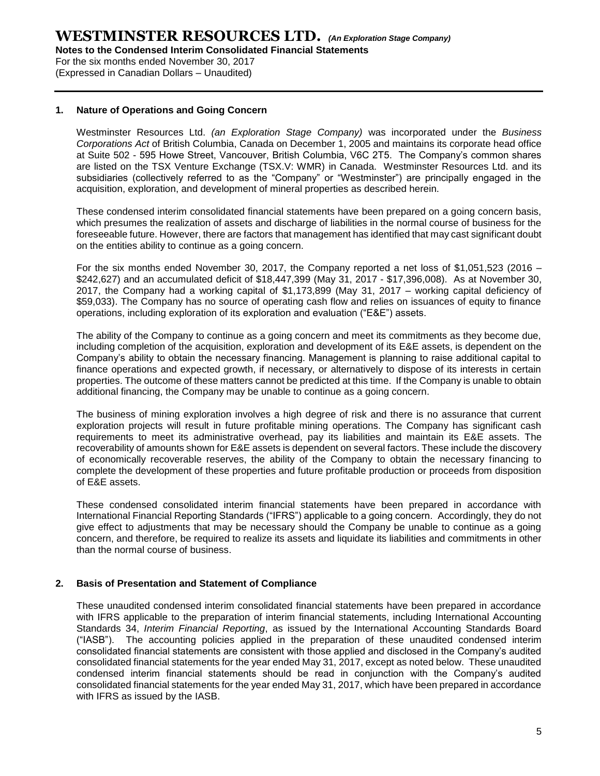For the six months ended November 30, 2017 (Expressed in Canadian Dollars – Unaudited)

#### **1. Nature of Operations and Going Concern**

Westminster Resources Ltd. *(an Exploration Stage Company)* was incorporated under the *Business Corporations Act* of British Columbia, Canada on December 1, 2005 and maintains its corporate head office at Suite 502 - 595 Howe Street, Vancouver, British Columbia, V6C 2T5. The Company's common shares are listed on the TSX Venture Exchange (TSX.V: WMR) in Canada. Westminster Resources Ltd. and its subsidiaries (collectively referred to as the "Company" or "Westminster") are principally engaged in the acquisition, exploration, and development of mineral properties as described herein.

These condensed interim consolidated financial statements have been prepared on a going concern basis, which presumes the realization of assets and discharge of liabilities in the normal course of business for the foreseeable future. However, there are factors that management has identified that may cast significant doubt on the entities ability to continue as a going concern.

For the six months ended November 30, 2017, the Company reported a net loss of \$1,051,523 (2016 – \$242,627) and an accumulated deficit of \$18,447,399 (May 31, 2017 - \$17,396,008). As at November 30, 2017, the Company had a working capital of \$1,173,899 (May 31, 2017 – working capital deficiency of \$59,033). The Company has no source of operating cash flow and relies on issuances of equity to finance operations, including exploration of its exploration and evaluation ("E&E") assets.

The ability of the Company to continue as a going concern and meet its commitments as they become due, including completion of the acquisition, exploration and development of its E&E assets, is dependent on the Company's ability to obtain the necessary financing. Management is planning to raise additional capital to finance operations and expected growth, if necessary, or alternatively to dispose of its interests in certain properties. The outcome of these matters cannot be predicted at this time. If the Company is unable to obtain additional financing, the Company may be unable to continue as a going concern.

The business of mining exploration involves a high degree of risk and there is no assurance that current exploration projects will result in future profitable mining operations. The Company has significant cash requirements to meet its administrative overhead, pay its liabilities and maintain its E&E assets. The recoverability of amounts shown for E&E assets is dependent on several factors. These include the discovery of economically recoverable reserves, the ability of the Company to obtain the necessary financing to complete the development of these properties and future profitable production or proceeds from disposition of E&E assets.

These condensed consolidated interim financial statements have been prepared in accordance with International Financial Reporting Standards ("IFRS") applicable to a going concern. Accordingly, they do not give effect to adjustments that may be necessary should the Company be unable to continue as a going concern, and therefore, be required to realize its assets and liquidate its liabilities and commitments in other than the normal course of business.

#### **2. Basis of Presentation and Statement of Compliance**

These unaudited condensed interim consolidated financial statements have been prepared in accordance with IFRS applicable to the preparation of interim financial statements, including International Accounting Standards 34, *Interim Financial Reporting*, as issued by the International Accounting Standards Board ("IASB"). The accounting policies applied in the preparation of these unaudited condensed interim consolidated financial statements are consistent with those applied and disclosed in the Company's audited consolidated financial statements for the year ended May 31, 2017, except as noted below. These unaudited condensed interim financial statements should be read in conjunction with the Company's audited consolidated financial statements for the year ended May 31, 2017, which have been prepared in accordance with IFRS as issued by the IASB.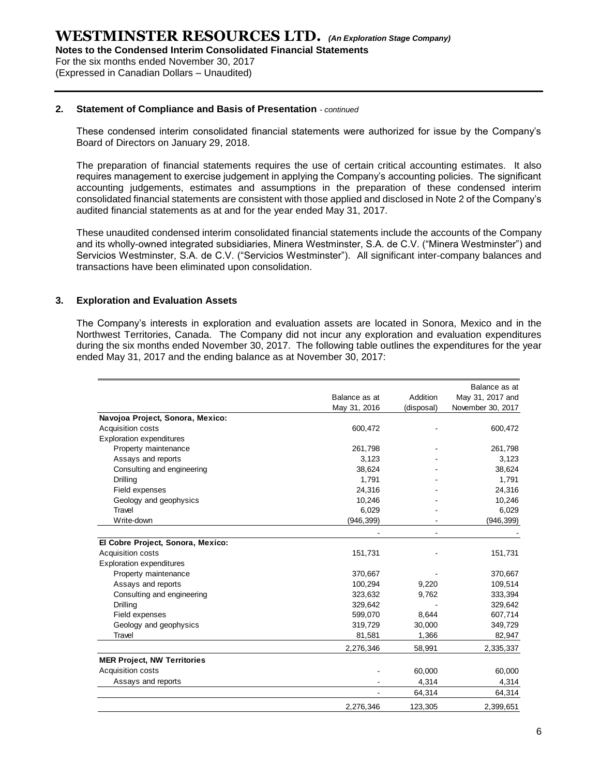For the six months ended November 30, 2017 (Expressed in Canadian Dollars – Unaudited)

#### **2. Statement of Compliance and Basis of Presentation** *- continued*

These condensed interim consolidated financial statements were authorized for issue by the Company's Board of Directors on January 29, 2018.

The preparation of financial statements requires the use of certain critical accounting estimates. It also requires management to exercise judgement in applying the Company's accounting policies. The significant accounting judgements, estimates and assumptions in the preparation of these condensed interim consolidated financial statements are consistent with those applied and disclosed in Note 2 of the Company's audited financial statements as at and for the year ended May 31, 2017.

These unaudited condensed interim consolidated financial statements include the accounts of the Company and its wholly-owned integrated subsidiaries, Minera Westminster, S.A. de C.V. ("Minera Westminster") and Servicios Westminster, S.A. de C.V. ("Servicios Westminster"). All significant inter-company balances and transactions have been eliminated upon consolidation.

#### **3. Exploration and Evaluation Assets**

The Company's interests in exploration and evaluation assets are located in Sonora, Mexico and in the Northwest Territories, Canada. The Company did not incur any exploration and evaluation expenditures during the six months ended November 30, 2017. The following table outlines the expenditures for the year ended May 31, 2017 and the ending balance as at November 30, 2017:

|                                    |                |            | Balance as at     |
|------------------------------------|----------------|------------|-------------------|
|                                    | Balance as at  | Addition   | May 31, 2017 and  |
|                                    | May 31, 2016   | (disposal) | November 30, 2017 |
| Navojoa Project, Sonora, Mexico:   |                |            |                   |
| Acquisition costs                  | 600,472        |            | 600,472           |
| <b>Exploration expenditures</b>    |                |            |                   |
| Property maintenance               | 261,798        |            | 261,798           |
| Assays and reports                 | 3,123          |            | 3,123             |
| Consulting and engineering         | 38,624         |            | 38,624            |
| Drilling                           | 1,791          |            | 1,791             |
| Field expenses                     | 24,316         |            | 24,316            |
| Geology and geophysics             | 10,246         |            | 10,246            |
| Travel                             | 6,029          |            | 6,029             |
| Write-down                         | (946, 399)     |            | (946, 399)        |
|                                    | $\overline{a}$ |            |                   |
| El Cobre Project, Sonora, Mexico:  |                |            |                   |
| Acquisition costs                  | 151,731        |            | 151,731           |
| <b>Exploration expenditures</b>    |                |            |                   |
| Property maintenance               | 370,667        |            | 370,667           |
| Assays and reports                 | 100,294        | 9,220      | 109,514           |
| Consulting and engineering         | 323,632        | 9,762      | 333,394           |
| Drilling                           | 329,642        |            | 329,642           |
| Field expenses                     | 599,070        | 8,644      | 607,714           |
| Geology and geophysics             | 319,729        | 30,000     | 349,729           |
| Travel                             | 81,581         | 1,366      | 82,947            |
|                                    | 2,276,346      | 58,991     | 2,335,337         |
| <b>MER Project, NW Territories</b> |                |            |                   |
| Acquisition costs                  |                | 60,000     | 60,000            |
| Assays and reports                 |                | 4,314      | 4,314             |
|                                    |                | 64,314     | 64,314            |
|                                    | 2,276,346      | 123,305    | 2,399,651         |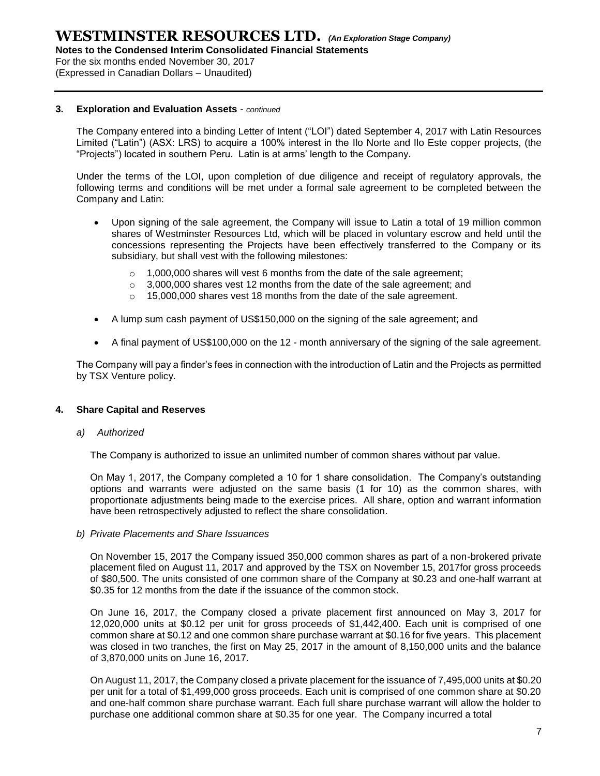**Notes to the Condensed Interim Consolidated Financial Statements**

For the six months ended November 30, 2017

(Expressed in Canadian Dollars – Unaudited)

#### **3. Exploration and Evaluation Assets** - *continued*

The Company entered into a binding Letter of Intent ("LOI") dated September 4, 2017 with Latin Resources Limited ("Latin") (ASX: LRS) to acquire a 100% interest in the Ilo Norte and Ilo Este copper projects, (the "Projects") located in southern Peru. Latin is at arms' length to the Company.

Under the terms of the LOI, upon completion of due diligence and receipt of regulatory approvals, the following terms and conditions will be met under a formal sale agreement to be completed between the Company and Latin:

- Upon signing of the sale agreement, the Company will issue to Latin a total of 19 million common shares of Westminster Resources Ltd, which will be placed in voluntary escrow and held until the concessions representing the Projects have been effectively transferred to the Company or its subsidiary, but shall vest with the following milestones:
	- $\circ$  1,000,000 shares will vest 6 months from the date of the sale agreement;
	- $\circ$  3,000,000 shares vest 12 months from the date of the sale agreement; and
	- o 15,000,000 shares vest 18 months from the date of the sale agreement.
- A lump sum cash payment of US\$150,000 on the signing of the sale agreement; and
- A final payment of US\$100,000 on the 12 month anniversary of the signing of the sale agreement.

The Company will pay a finder's fees in connection with the introduction of Latin and the Projects as permitted by TSX Venture policy.

#### **4. Share Capital and Reserves**

#### *a) Authorized*

The Company is authorized to issue an unlimited number of common shares without par value.

On May 1, 2017, the Company completed a 10 for 1 share consolidation. The Company's outstanding options and warrants were adjusted on the same basis (1 for 10) as the common shares, with proportionate adjustments being made to the exercise prices. All share, option and warrant information have been retrospectively adjusted to reflect the share consolidation.

#### *b) Private Placements and Share Issuances*

On November 15, 2017 the Company issued 350,000 common shares as part of a non-brokered private placement filed on August 11, 2017 and approved by the TSX on November 15, 2017for gross proceeds of \$80,500. The units consisted of one common share of the Company at \$0.23 and one-half warrant at \$0.35 for 12 months from the date if the issuance of the common stock.

On June 16, 2017, the Company closed a private placement first announced on May 3, 2017 for 12,020,000 units at \$0.12 per unit for gross proceeds of \$1,442,400. Each unit is comprised of one common share at \$0.12 and one common share purchase warrant at \$0.16 for five years. This placement was closed in two tranches, the first on May 25, 2017 in the amount of 8,150,000 units and the balance of 3,870,000 units on June 16, 2017.

On August 11, 2017, the Company closed a private placement for the issuance of 7,495,000 units at \$0.20 per unit for a total of \$1,499,000 gross proceeds. Each unit is comprised of one common share at \$0.20 and one-half common share purchase warrant. Each full share purchase warrant will allow the holder to purchase one additional common share at \$0.35 for one year. The Company incurred a total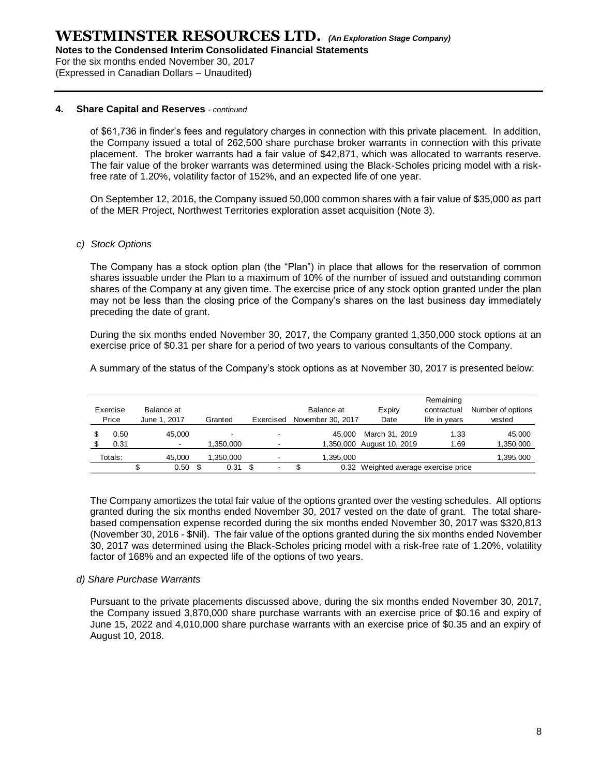For the six months ended November 30, 2017 (Expressed in Canadian Dollars – Unaudited)

#### **4. Share Capital and Reserves** *- continued*

of \$61,736 in finder's fees and regulatory charges in connection with this private placement. In addition, the Company issued a total of 262,500 share purchase broker warrants in connection with this private placement. The broker warrants had a fair value of \$42,871, which was allocated to warrants reserve. The fair value of the broker warrants was determined using the Black-Scholes pricing model with a riskfree rate of 1.20%, volatility factor of 152%, and an expected life of one year.

On September 12, 2016, the Company issued 50,000 common shares with a fair value of \$35,000 as part of the MER Project, Northwest Territories exploration asset acquisition (Note 3).

#### *c) Stock Options*

The Company has a stock option plan (the "Plan") in place that allows for the reservation of common shares issuable under the Plan to a maximum of 10% of the number of issued and outstanding common shares of the Company at any given time. The exercise price of any stock option granted under the plan may not be less than the closing price of the Company's shares on the last business day immediately preceding the date of grant.

During the six months ended November 30, 2017, the Company granted 1,350,000 stock options at an exercise price of \$0.31 per share for a period of two years to various consultants of the Company.

A summary of the status of the Company's stock options as at November 30, 2017 is presented below:

| Exercise<br>Price | Balance at<br>June 1, 2017         |     | Granted   | Exercised | Balance at<br>November 30, 2017 | Expiry<br>Date                              | Remaining<br>contractual<br>life in years | Number of options<br>vested |
|-------------------|------------------------------------|-----|-----------|-----------|---------------------------------|---------------------------------------------|-------------------------------------------|-----------------------------|
| 0.50<br>0.31      | 45.000<br>$\overline{\phantom{a}}$ |     | 1.350.000 |           | 45.000                          | March 31, 2019<br>1,350,000 August 10, 2019 | 1.33<br>1.69                              | 45.000<br>1,350,000         |
| Totals:           | 45.000                             |     | 1,350,000 |           | 1,395,000                       |                                             |                                           | 1,395,000                   |
|                   | 0.50                               | \$. | 0.31      |           |                                 | 0.32 Weighted average exercise price        |                                           |                             |

The Company amortizes the total fair value of the options granted over the vesting schedules. All options granted during the six months ended November 30, 2017 vested on the date of grant. The total sharebased compensation expense recorded during the six months ended November 30, 2017 was \$320,813 (November 30, 2016 - \$Nil). The fair value of the options granted during the six months ended November 30, 2017 was determined using the Black-Scholes pricing model with a risk-free rate of 1.20%, volatility factor of 168% and an expected life of the options of two years.

#### *d) Share Purchase Warrants*

Pursuant to the private placements discussed above, during the six months ended November 30, 2017, the Company issued 3,870,000 share purchase warrants with an exercise price of \$0.16 and expiry of June 15, 2022 and 4,010,000 share purchase warrants with an exercise price of \$0.35 and an expiry of August 10, 2018.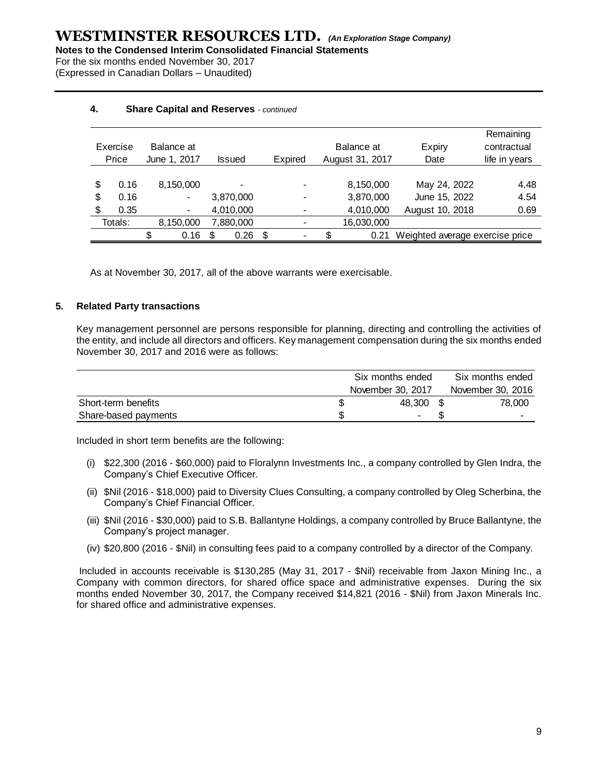For the six months ended November 30, 2017 (Expressed in Canadian Dollars – Unaudited)

#### **4. Share Capital and Reserves** *- continued*

|    | Exercise<br>Price | Balance at<br>June 1, 2017 | <b>Issued</b> | Expired |   | Balance at<br>August 31, 2017 | Expiry<br>Date                  | Remaining<br>contractual<br>life in years |
|----|-------------------|----------------------------|---------------|---------|---|-------------------------------|---------------------------------|-------------------------------------------|
|    |                   |                            |               |         |   |                               |                                 |                                           |
| S  | 0.16              | 8,150,000                  |               |         |   | 8,150,000                     | May 24, 2022                    | 4.48                                      |
| \$ | 0.16              | ٠                          | 3,870,000     |         | ۰ | 3,870,000                     | June 15, 2022                   | 4.54                                      |
| \$ | 0.35              | ٠                          | 4,010,000     |         |   | 4,010,000                     | August 10, 2018                 | 0.69                                      |
|    | Totals:           | 8,150,000                  | 7,880,000     |         |   | 16,030,000                    |                                 |                                           |
|    |                   | 0.16                       | \$<br>0.26    | \$      | ٠ | 0.21                          | Weighted average exercise price |                                           |

As at November 30, 2017, all of the above warrants were exercisable.

#### **5. Related Party transactions**

Key management personnel are persons responsible for planning, directing and controlling the activities of the entity, and include all directors and officers. Key management compensation during the six months ended November 30, 2017 and 2016 were as follows:

|                      | Six months ended  | Six months ended |                   |  |
|----------------------|-------------------|------------------|-------------------|--|
|                      | November 30, 2017 |                  | November 30, 2016 |  |
| Short-term benefits  | 48.300            |                  | 78.000            |  |
| Share-based payments |                   |                  | ۰                 |  |

Included in short term benefits are the following:

- (i) \$22,300 (2016 \$60,000) paid to Floralynn Investments Inc., a company controlled by Glen Indra, the Company's Chief Executive Officer.
- (ii) \$Nil (2016 \$18,000) paid to Diversity Clues Consulting, a company controlled by Oleg Scherbina, the Company's Chief Financial Officer.
- (iii) \$Nil (2016 \$30,000) paid to S.B. Ballantyne Holdings, a company controlled by Bruce Ballantyne, the Company's project manager.
- (iv) \$20,800 (2016 \$Nil) in consulting fees paid to a company controlled by a director of the Company.

Included in accounts receivable is \$130,285 (May 31, 2017 - \$Nil) receivable from Jaxon Mining Inc., a Company with common directors, for shared office space and administrative expenses. During the six months ended November 30, 2017, the Company received \$14,821 (2016 - \$Nil) from Jaxon Minerals Inc. for shared office and administrative expenses.